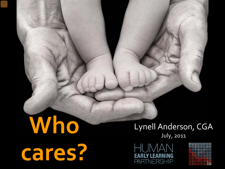# **Who cares?**

#### Lynell Anderson, CGA July, 2011

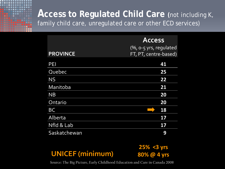

|                 | <b>Access</b>          |
|-----------------|------------------------|
|                 | (%, o-5 yrs, regulated |
| <b>PROVINCE</b> | FT, PT, centre-based)  |
| PEI             | 41                     |
| Quebec          | 25                     |
| <b>NS</b>       | 22                     |
| Manitoba        | 21                     |
| <b>NB</b>       | 20                     |
| Ontario         | 20                     |
| <b>BC</b>       | 18                     |
| Alberta         | 17                     |
| Nfld & Lab      | 17                     |
| Saskatchewan    | 9                      |

#### **UNICEF (minimum)**

**25% <3 yrs 80% @ 4 yrs**

**Source: The Big Picture, Early Childhood Education and Care in Canada 2008**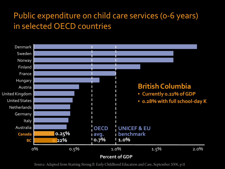#### Public expenditure on child care services (0-6 years) in selected OECD countries



Source: Adapted from Starting Strong ll: Early Childhood Education and Care, September 2006, p.11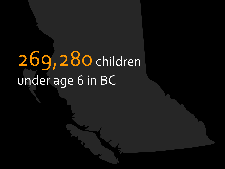# 269,280children under age 6 in BC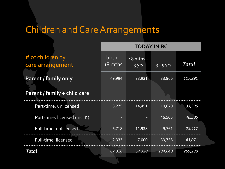| <b>TODAY IN BC</b> |  |             |                                                                            |
|--------------------|--|-------------|----------------------------------------------------------------------------|
| birth -<br>18 mths |  | $3 - 5$ yrs | Total                                                                      |
| 49,994             |  | 33,966      | 117,891                                                                    |
|                    |  |             |                                                                            |
| 8,275              |  | 10,670      | 33,396                                                                     |
|                    |  | 46,505      | 46,505                                                                     |
| 6,718              |  | 9,761       | 28,417                                                                     |
| 2,333              |  | 33,738      | 43,071                                                                     |
| 67,320             |  | 134,640     | 269,280                                                                    |
|                    |  |             | $18$ mths -<br>$3 \, YIS$<br>33,931<br>14,451<br>11,938<br>7,000<br>67,320 |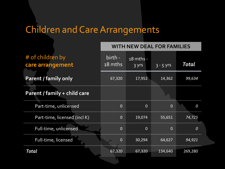|                                      |                    | <b>WITH NEW DEAL FOR FAMILIES</b>      |                |                |  |  |
|--------------------------------------|--------------------|----------------------------------------|----------------|----------------|--|--|
| # of children by<br>care arrangement | birth -<br>18 mths | $\mid$ 18 mths -<br>$\overline{3}$ yrs | $-3 - 5$ yrs   | Total          |  |  |
| <b>Parent / family only</b>          | 67,320             | 17,952                                 | 14,362         | 99,634         |  |  |
| Parent / family + child care         |                    |                                        |                |                |  |  |
| Part-time, unlicensed                | $\Omega$           | $\Omega$                               | $\Omega$       | $\overline{0}$ |  |  |
| Part-time, licensed (incl K)         | $\overline{0}$     | 19,074                                 | 55,651         | 74,725         |  |  |
| Full-time, unlicensed                | $\overline{0}$     | $\overline{0}$                         | $\overline{0}$ | $\overline{0}$ |  |  |
| Full-time, licensed                  | $\overline{0}$     | 30,294                                 | 64,627         | 94,921         |  |  |
| Total                                | 67,320             | 67,320                                 | 134,640        | 269,280        |  |  |
|                                      |                    |                                        |                |                |  |  |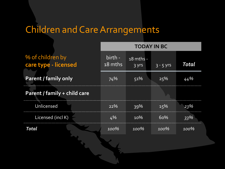|                                          | <b>TODAY IN BC</b> |                    |             |              |
|------------------------------------------|--------------------|--------------------|-------------|--------------|
| % of children by<br>care type - licensed | birth -<br>18 mths | 18 mths -<br>3 yrs | $3 - 5$ yrs | <b>Total</b> |
| <b>Parent / family only</b>              | 74%                | 51%                | 25%         | 44%          |
| Parent / family + child care             |                    |                    |             |              |
| Unlicensed                               | 22%                | 39%                | 15%         | 23%          |
| Licensed (incl K)                        | 4%                 | 10%                | 60%         | 33%          |
| Total                                    | 100%               | 100%               | 100%        | 100%         |
|                                          |                    |                    |             |              |
|                                          |                    |                    |             |              |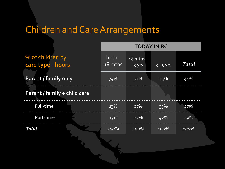|                                       |  | <b>TODAY IN BC</b> |                    |             |              |
|---------------------------------------|--|--------------------|--------------------|-------------|--------------|
| % of children by<br>care type - hours |  | birth -<br>18 mths | 18 mths -<br>3 yrs | $3 - 5$ yrs | <b>Total</b> |
| <b>Parent / family only</b>           |  | 74%                | 51%                | 25%         | 44%          |
| Parent / family + child care          |  |                    |                    |             |              |
| Full-time                             |  | 13%                | 27%                | 33%         | 27%          |
| Part-time                             |  | 13%                | 22%                | 42%         | 29%          |
| <b>Total</b>                          |  | 100%               | 100%               | 100%        | 100%         |
|                                       |  |                    |                    |             |              |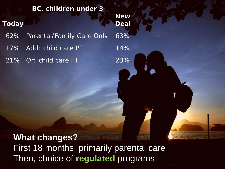**BC, children under 3 Today New Deal** 62% Parental/Family Care Only 63% 17% Add: child care PT 14% 21% Or: child care FT 23%

**What changes?** First 18 months, primarily parental care Then, choice of **regulated** programs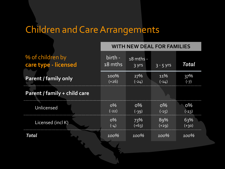|                                          | <b>WITH NEW DEAL FOR FAMILIES</b> |                      |                  |                  |  |
|------------------------------------------|-----------------------------------|----------------------|------------------|------------------|--|
| % of children by<br>care type - licensed | birth -<br>18 mths                | $18$ mths -<br>3 yrs | $3 - 5$ yrs      | Total            |  |
| <b>Parent / family only</b>              | 100%<br>$(+26)$                   | 27%<br>$(-24)$       | 11%<br>$(-14)$   | 37%<br>$(-7)$    |  |
| Parent / family + child care             |                                   |                      |                  |                  |  |
| Unlicensed                               | $O\%$<br>$(-22)$                  | $O\%$<br>$(-39)$     | $O\%$<br>$(-15)$ | $O\%$<br>$(-23)$ |  |
| Licensed (incl K)                        | $O\%$<br>$(-4)$                   | 73%<br>$(+63)$       | 89%<br>$(+29)$   | 63%<br>$(+30)$   |  |
| Total                                    | 100%                              | 100%                 | 100%             | 100%             |  |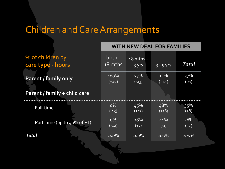|                                       | <b>WITH NEW DEAL FOR FAMILIES</b> |                      |                |               |
|---------------------------------------|-----------------------------------|----------------------|----------------|---------------|
| % of children by<br>care type - hours | <u>birth - </u><br>18 mths        | $18$ mths -<br>3 yrs | $3 - 5$ yrs    | Total         |
| <b>Parent / family only</b>           | 100%<br>$(+26)$                   | 27%<br>$(-23)$       | 11%<br>$(-14)$ | 37%<br>$(-6)$ |
| Parent / family + child care          |                                   |                      |                |               |
| Full-time                             | $O\%$<br>$(-13)$                  | 45%<br>$(+17)$       | 48%<br>$(+16)$ | 35%<br>$(+8)$ |
| Part-time (up to 40% of FT)           | $O\%$<br>$(-12)$                  | 28%<br>$(+7)$        | 41%<br>$(-1)$  | 28%<br>$(-2)$ |
| Total                                 | 100%                              | 100%                 | 100%           | 100%          |
|                                       |                                   |                      |                |               |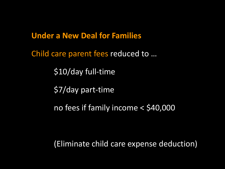**Under a New Deal for Families**

Child care parent fees reduced to …

\$10/day full-time

\$7/day part-time

no fees if family income < \$40,000

(Eliminate child care expense deduction)